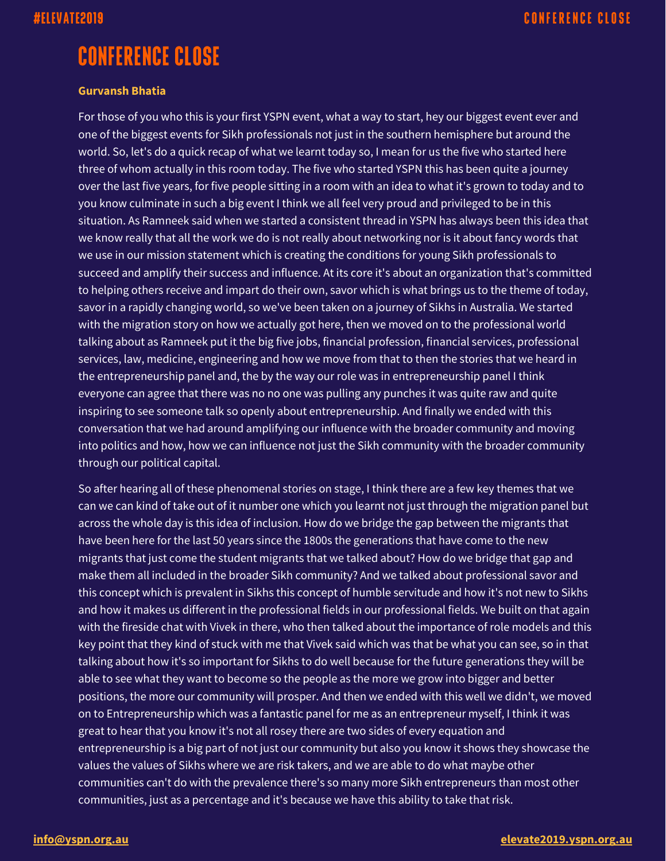# **CONFERENCE CLOSE**

### **Gurvansh Bhatia**

For those of you who this is your first YSPN event, what a way to start, hey our biggest event ever and one of the biggest events for Sikh professionals not just in the southern hemisphere but around the world. So, let's do a quick recap of what we learnt today so, I mean for us the five who started here three of whom actually in this room today. The five who started YSPN this has been quite a journey over the last five years, for five people sitting in a room with an idea to what it's grown to today and to you know culminate in such a big event I think we all feel very proud and privileged to be in this situation. As Ramneek said when we started a consistent thread in YSPN has always been this idea that we know really that all the work we do is not really about networking nor is it about fancy words that we use in our mission statement which is creating the conditions for young Sikh professionals to succeed and amplify their success and influence. At its core it's about an organization that's committed to helping others receive and impart do their own, savor which is what brings us to the theme of today, savor in a rapidly changing world, so we've been taken on a journey of Sikhs in Australia. We started with the migration story on how we actually got here, then we moved on to the professional world talking about as Ramneek put it the big five jobs, financial profession, financial services, professional services, law, medicine, engineering and how we move from that to then the stories that we heard in the entrepreneurship panel and, the by the way our role was in entrepreneurship panel I think everyone can agree that there was no no one was pulling any punches it was quite raw and quite inspiring to see someone talk so openly about entrepreneurship. And finally we ended with this conversation that we had around amplifying our influence with the broader community and moving into politics and how, how we can influence not just the Sikh community with the broader community through our political capital.

So after hearing all of these phenomenal stories on stage, I think there are a few key themes that we can we can kind of take out of it number one which you learnt not just through the migration panel but across the whole day is this idea of inclusion. How do we bridge the gap between the migrants that have been here for the last 50 years since the 1800s the generations that have come to the new migrants that just come the student migrants that we talked about? How do we bridge that gap and make them all included in the broader Sikh community? And we talked about professional savor and this concept which is prevalent in Sikhs this concept of humble servitude and how it's not new to Sikhs and how it makes us different in the professional fields in our professional fields. We built on that again with the fireside chat with Vivek in there, who then talked about the importance of role models and this key point that they kind of stuck with me that Vivek said which was that be what you can see, so in that talking about how it's so important for Sikhs to do well because for the future generations they will be able to see what they want to become so the people as the more we grow into bigger and better positions, the more our community will prosper. And then we ended with this well we didn't, we moved on to Entrepreneurship which was a fantastic panel for me as an entrepreneur myself, I think it was great to hear that you know it's not all rosey there are two sides of every equation and entrepreneurship is a big part of not just our community but also you know it shows they showcase the values the values of Sikhs where we are risk takers, and we are able to do what maybe other communities can't do with the prevalence there's so many more Sikh entrepreneurs than most other communities, just as a percentage and it's because we have this ability to take that risk.